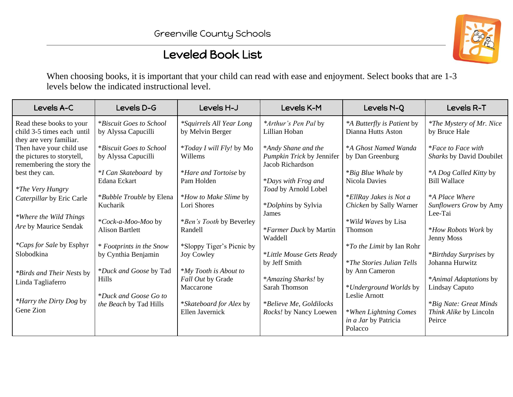## Leveled Book List

When choosing books, it is important that your child can read with ease and enjoyment. Select books that are 1-3 levels below the indicated instructional level.

| Levels A-C                                                                          | Levels D-G                                      | Levels H-J                                              | Levels K-M                                                           | Levels N-Q                                                           | Levels R-T                                                        |
|-------------------------------------------------------------------------------------|-------------------------------------------------|---------------------------------------------------------|----------------------------------------------------------------------|----------------------------------------------------------------------|-------------------------------------------------------------------|
| Read these books to your<br>child 3-5 times each until<br>they are very familiar.   | *Biscuit Goes to School<br>by Alyssa Capucilli  | <i>*Squirrels All Year Long</i><br>by Melvin Berger     | *Arthur's Pen Pal by<br>Lillian Hoban                                | *A Butterfly is Patient by<br>Dianna Hutts Aston                     | <i>*The Mystery of Mr. Nice</i><br>by Bruce Hale                  |
| Then have your child use<br>the pictures to storytell,<br>remembering the story the | *Biscuit Goes to School<br>by Alyssa Capucilli  | <i>*Today I will Fly!</i> by Mo<br>Willems              | *Andy Shane and the<br>Pumpkin Trick by Jennifer<br>Jacob Richardson | *A Ghost Named Wanda<br>by Dan Greenburg                             | <i>*Face to Face with</i><br>Sharks by David Doubilet             |
| best they can.<br><i>*The Very Hungry</i>                                           | <i>*I</i> Can Skateboard by<br>Edana Eckart     | <i>*Hare and Tortoise by</i><br>Pam Holden              | <i>*Days with Frog and</i><br>Toad by Arnold Lobel                   | <i>*Big Blue Whale by</i><br><b>Nicola Davies</b>                    | *A Dog Called Kitty by<br><b>Bill Wallace</b>                     |
| Caterpillar by Eric Carle                                                           | *Bubble Trouble by Elena<br>Kucharik            | *How to Make Slime by<br>Lori Shores                    | <i>*Dolphins</i> by Sylvia<br>James                                  | *EllRay Jakes is Not a<br>Chicken by Sally Warner                    | <i>*A Place Where</i><br>Sunflowers Grow by Amy<br>Lee-Tai        |
| *Where the Wild Things<br>Are by Maurice Sendak                                     | *Cock-a-Moo-Moo by<br><b>Alison Bartlett</b>    | *Ben's Tooth by Beverley<br>Randell                     | <i>*Farmer Duck by Martin</i><br>Waddell                             | *Wild Waves by Lisa<br><b>Thomson</b>                                | *How Robots Work by<br>Jenny Moss                                 |
| <i>*Caps for Sale by Esphyr</i><br>Slobodkina                                       | * Footprints in the Snow<br>by Cynthia Benjamin | *Sloppy Tiger's Picnic by<br>Joy Cowley                 | *Little Mouse Gets Ready<br>by Jeff Smith                            | <i>*To the Limit</i> by Ian Rohr<br><i>*The Stories Julian Tells</i> | *Birthday Surprises by<br>Johanna Hurwitz                         |
| <i>*Birds and Their Nests by</i><br>Linda Tagliaferro                               | *Duck and Goose by Tad<br><b>Hills</b>          | *My Tooth is About to<br>Fall Out by Grade<br>Maccarone | *Amazing Sharks! by<br>Sarah Thomson                                 | by Ann Cameron<br>*Underground Worlds by                             | *Animal Adaptations by<br>Lindsay Caputo                          |
| <i>*Harry the Dirty Dog by</i><br>Gene Zion                                         | *Duck and Goose Go to<br>the Beach by Tad Hills | *Skateboard for Alex by<br>Ellen Javernick              | *Believe Me, Goldilocks<br>Rocks! by Nancy Loewen                    | Leslie Arnott<br>*When Lightning Comes<br>in a Jar by Patricia       | <i>*Big Nate: Great Minds</i><br>Think Alike by Lincoln<br>Peirce |
|                                                                                     |                                                 |                                                         |                                                                      | Polacco                                                              |                                                                   |

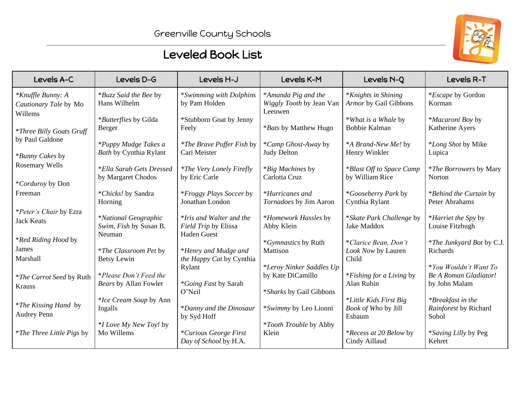

## Leveled Book List

| Levels A-C                                            | Levels D-G                                                      | Levels H-J                                                             | Levels K-M                                                 | Levels N-Q                                              | Levels R-T                                                             |  |  |
|-------------------------------------------------------|-----------------------------------------------------------------|------------------------------------------------------------------------|------------------------------------------------------------|---------------------------------------------------------|------------------------------------------------------------------------|--|--|
| *Knuffle Bunny: A<br>Cautionary Tale by Mo<br>Willems | *Buzz Said the Bee by<br>Hans Wilhelm                           | *Swimming with Dolphins<br>by Pam Holden                               | *Amanda Pig and the<br>Wiggly Tooth by Jean Van<br>Leeuwen | <i>*Knights in Shining</i><br>Armor by Gail Gibbons     | *Escape by Gordon<br>Korman                                            |  |  |
| <i>*Three Billy Goats Gruff</i>                       | *Butterflies by Gilda<br>Berger                                 | *Stubborn Goat by Jenny<br>Feely                                       | *Bats by Matthew Hugo                                      | *What is a Whale by<br><b>Bobbie Kalman</b>             | <i>*Macaroni Boy by</i><br>Katherine Ayers                             |  |  |
| by Paul Galdone<br>*Bunny Cakes by                    | *Puppy Mudge Takes a<br><b>Bath by Cynthia Rylant</b>           | <i>*The Brave Puffer Fish by</i><br>Cari Meister                       | *Camp Ghost-Away by<br><b>Judy Delton</b>                  | *A Brand-New Me! by<br>Henry Winkler                    | <i>*Long Shot</i> by Mike<br>Lupica                                    |  |  |
| <b>Rosemary Wells</b>                                 | <i>*Ella Sarah Gets Dressed</i><br>by Margaret Chodos           | <i>*The Very Lonely Firefly</i><br>by Eric Carle                       | <i>*Big Machines</i> by<br>Carlotta Cruz                   | *Blast Off to Space Camp<br>by William Rice             | <i>*The Borrowers</i> by Mary<br>Norton                                |  |  |
| *Corduroy by Don<br>Freeman                           | *Chicks! by Sandra<br>Horning                                   | *Froggy Plays Soccer by<br>Jonathan London                             | *Hurricanes and<br>Tornadoes by Jim Aaron                  | *Gooseberry Park by<br>Cynthia Rylant                   | *Behind the Curtain by<br>Peter Abrahams                               |  |  |
| *Peter's Chair by Ezra<br><b>Jack Keats</b>           | <i>*National Geographic</i><br>Swim, Fish by Susan B.<br>Neuman | *Iris and Walter and the<br>Field Trip by Elissa<br><b>Haden Guest</b> | *Homework Hassles by<br>Abby Klein                         | *Skate Park Challenge by<br><b>Jake Maddox</b>          | *Harriet the Spy by<br>Louise Fitzhugh                                 |  |  |
| <i>*Red Riding Hood by</i><br>James<br>Marshall       | <i>*The Classroom Pet by</i><br>Betsy Lewin                     | *Henry and Mudge and<br>the Happy Cat by Cynthia                       | *Gymnastics by Ruth<br>Mattison                            | *Clarice Bean, Don't<br>Look Now by Lauren<br>Child     | <i>*The Junkyard Bot by C.J.</i><br>Richards                           |  |  |
| <i>*The Carrot Seed by Ruth</i><br>Krauss             | *Please Don't Feed the<br>Bears by Allan Fowler                 | Rylant<br><i>*Going Fast by Sarah</i>                                  | *Leroy Ninker Saddles Up<br>by Kate DiCamillo              | <i>*Fishing for a Living by</i><br>Alan Rubin           | *You Wouldn't Want To<br><b>Be A Roman Gladiator!</b><br>by John Malam |  |  |
| <i>*The Kissing Hand</i> by<br><b>Audrey Penn</b>     | <i>*Ice Cream Soup</i> by Ann<br>Ingalls                        | O'Neil<br>*Danny and the Dinosaur<br>by Syd Hoff                       | *Sharks by Gail Gibbons<br>*Swimmy by Leo Lionni           | *Little Kids First Big<br>Book of Who by Jill<br>Esbaum | *Breakfast in the<br>Rainforest by Richard<br>Sobol                    |  |  |
| <i>*The Three Little Pigs by</i>                      | *I Love My New Toy! by<br>Mo Willems                            | *Curious George First<br>Day of School by H.A.                         | <i>*Tooth Trouble by Abby</i><br>Klein                     | *Recess at 20 Below by<br>Cindy Aillaud                 | *Saving Lilly by Peg<br>Kehret                                         |  |  |